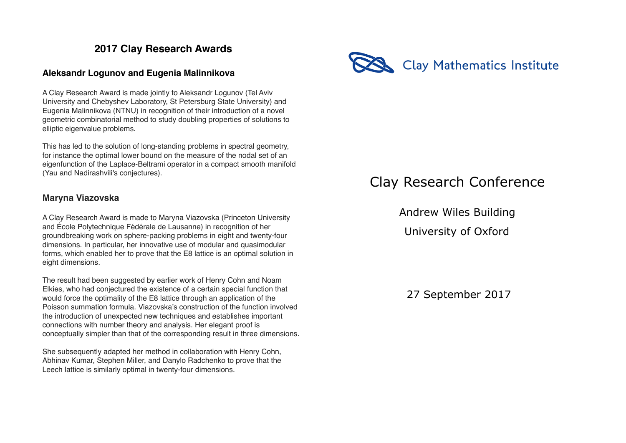## **2017 Clay Research Awards**

## **Aleksandr Logunov and Eugenia Malinnikova**

A Clay Research Award is made jointly to Aleksandr Logunov (Tel Aviv University and Chebyshev Laboratory, St Petersburg State University) and Eugenia Malinnikova (NTNU) in recognition of their introduction of a novel geometric combinatorial method to study doubling properties of solutions to elliptic eigenvalue problems.

This has led to the solution of long-standing problems in spectral geometry, for instance the optimal lower bound on the measure of the nodal set of an eigenfunction of the Laplace-Beltrami operator in a compact smooth manifold (Yau and Nadirashvili's conjectures).

## **Maryna Viazovska**

A Clay Research Award is made to Maryna Viazovska (Princeton University and École Polytechnique Fédérale de Lausanne) in recognition of her groundbreaking work on sphere-packing problems in eight and twenty-four dimensions. In particular, her innovative use of modular and quasimodular forms, which enabled her to prove that the E8 lattice is an optimal solution in eight dimensions.

The result had been suggested by earlier work of Henry Cohn and Noam Elkies, who had conjectured the existence of a certain special function that would force the optimality of the E8 lattice through an application of the Poisson summation formula. Viazovska's construction of the function involved the introduction of unexpected new techniques and establishes important connections with number theory and analysis. Her elegant proof is conceptually simpler than that of the corresponding result in three dimensions.

She subsequently adapted her method in collaboration with Henry Cohn, Abhinav Kumar, Stephen Miller, and Danylo Radchenko to prove that the Leech lattice is similarly optimal in twenty-four dimensions.



## Clay Research Conference

 Andrew Wiles Building University of Oxford

27 September 2017